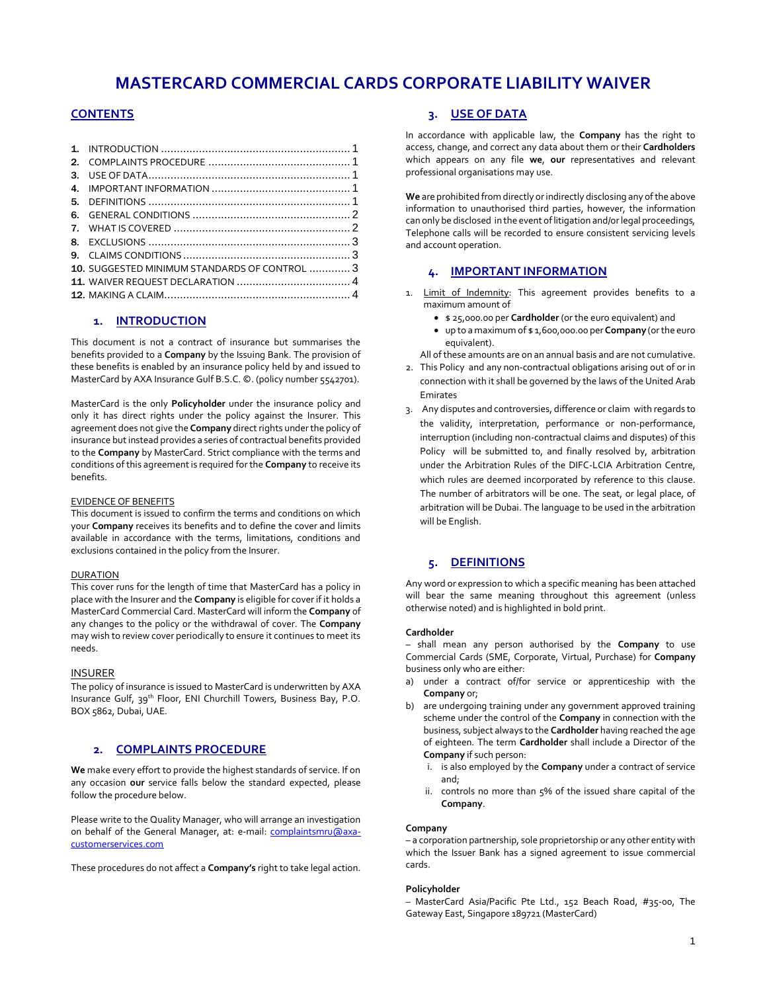# **MASTERCARD COMMERCIAL CARDS CORPORATE LIABILITY WAIVER**

# **CONTENTS**

| 10. SUGGESTED MINIMUM STANDARDS OF CONTROL  3 |  |
|-----------------------------------------------|--|
|                                               |  |
|                                               |  |
|                                               |  |

### **1. INTRODUCTION**

<span id="page-0-0"></span>This document is not a contract of insurance but summarises the benefits provided to a **Company** by the Issuing Bank. The provision of these benefits is enabled by an insurance policy held by and issued to MasterCard by AXA Insurance Gulf B.S.C. ©. (policy number 5542701).

MasterCard is the only **Policyholder** under the insurance policy and only it has direct rights under the policy against the Insurer. This agreement does not give the **Company** direct rights under the policy of insurance but instead provides a series of contractual benefits provided to the **Company** by MasterCard. Strict compliance with the terms and conditions of this agreement is required for the **Company** to receive its benefits.

#### EVIDENCE OF BENEFITS

This document is issued to confirm the terms and conditions on which your **Company** receives its benefits and to define the cover and limits available in accordance with the terms, limitations, conditions and exclusions contained in the policy from the Insurer.

#### DURATION

This cover runs for the length of time that MasterCard has a policy in place with the Insurer and the **Company** is eligible for cover if it holds a MasterCard Commercial Card. MasterCard will inform the **Company** of any changes to the policy or the withdrawal of cover. The **Company** may wish to review cover periodically to ensure it continues to meet its needs.

#### INSURER

The policy of insurance is issued to MasterCard is underwritten by AXA Insurance Gulf, 39th Floor, ENI Churchill Towers, Business Bay, P.O. BOX 5862, Dubai, UAE.

### <span id="page-0-1"></span>**2. COMPLAINTS PROCEDURE**

**We** make every effort to provide the highest standards of service. If on any occasion **our** service falls below the standard expected, please follow the procedure below.

Please write to the Quality Manager, who will arrange an investigation on behalf of the General Manager, at: e-mail: [complaintsmru@axa](mailto:complaintsmru@axa-customerservices.com)[customerservices.com](mailto:complaintsmru@axa-customerservices.com)

These procedures do not affect a **Company's** right to take legal action.

### **3. USE OF DATA**

<span id="page-0-2"></span>In accordance with applicable law, the **Company** has the right to access, change, and correct any data about them or their **Cardholders** which appears on any file **we**, **our** representatives and relevant professional organisations may use.

**We** are prohibited from directly or indirectly disclosing any of the above information to unauthorised third parties, however, the information can only be disclosed in the event of litigation and/or legal proceedings*,*  Telephone calls will be recorded to ensure consistent servicing levels and account operation.

### **4. IMPORTANT INFORMATION**

- <span id="page-0-3"></span>1. Limit of Indemnity: This agreement provides benefits to a maximum amount of
	- \$ 25,000.00 per **Cardholder** (or the euro equivalent) and
	- up to a maximum of \$ 1,600,000.00 per **Company** (or the euro equivalent).

All of these amounts are on an annual basis and are not cumulative.

- 2. This Policy and any non-contractual obligations arising out of or in connection with it shall be governed by the laws of the United Arab Emirates
- 3. Any disputes and controversies, difference or claim with regards to the validity, interpretation, performance or non-performance, interruption (including non-contractual claims and disputes) of this Policy will be submitted to, and finally resolved by, arbitration under the Arbitration Rules of the DIFC-LCIA Arbitration Centre, which rules are deemed incorporated by reference to this clause. The number of arbitrators will be one. The seat, or legal place, of arbitration will be Dubai. The language to be used in the arbitration will be English.

# **5. DEFINITIONS**

<span id="page-0-4"></span>Any word or expression to which a specific meaning has been attached will bear the same meaning throughout this agreement (unless otherwise noted) and is highlighted in bold print.

#### **Cardholder**

– shall mean any person authorised by the **Company** to use Commercial Cards (SME, Corporate, Virtual, Purchase) for **Company** business only who are either:

- a) under a contract of/for service or apprenticeship with the **Company** or;
- b) are undergoing training under any government approved training scheme under the control of the **Company** in connection with the business, subject always to the **Cardholder** having reached the age of eighteen. The term **Cardholder** shall include a Director of the **Company** if such person:
	- i. is also employed by the **Company** under a contract of service and;
	- ii. controls no more than 5% of the issued share capital of the **Company**.

#### **Company**

– a corporation partnership, sole proprietorship or any other entity with which the Issuer Bank has a signed agreement to issue commercial cards.

#### **Policyholder**

– MasterCard Asia/Pacific Pte Ltd., 152 Beach Road, #35-00, The Gateway East, Singapore 189721 (MasterCard)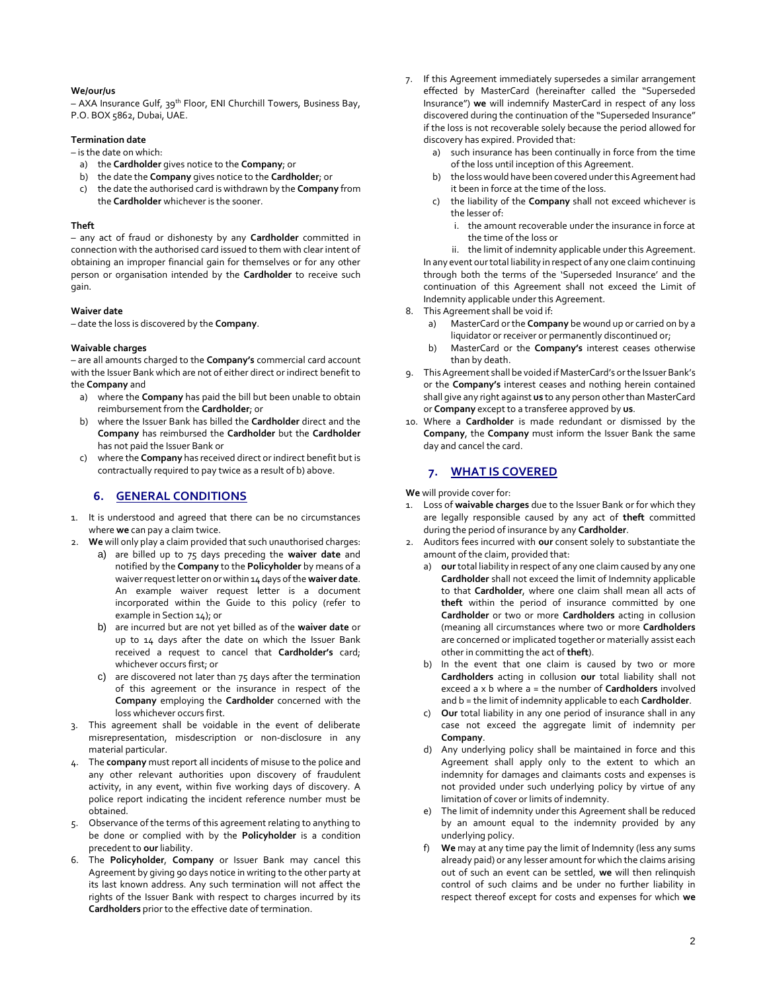#### **We/our/us**

– AXA Insurance Gulf, 39th Floor, ENI Churchill Towers, Business Bay, P.O. BOX 5862, Dubai, UAE.

### **Termination date**

– is the date on which:

- a) the **Cardholder** gives notice to the **Company**; or
- b) the date the **Company** gives notice to the **Cardholder**; or
- c) the date the authorised card is withdrawn by the **Company** from the **Cardholder** whichever is the sooner.

#### **Theft**

– any act of fraud or dishonesty by any **Cardholder** committed in connection with the authorised card issued to them with clear intent of obtaining an improper financial gain for themselves or for any other person or organisation intended by the **Cardholder** to receive such gain.

#### **Waiver date**

– date the loss is discovered by the **Company**.

#### **Waivable charges**

– are all amounts charged to the **Company's** commercial card account with the Issuer Bank which are not of either direct or indirect benefit to the **Company** and

- a) where the **Company** has paid the bill but been unable to obtain reimbursement from the **Cardholder**; or
- b) where the Issuer Bank has billed the **Cardholder** direct and the **Company** has reimbursed the **Cardholder** but the **Cardholder** has not paid the Issuer Bank or
- c) where the **Company** has received direct or indirect benefit but is contractually required to pay twice as a result of b) above.

### **6. GENERAL CONDITIONS**

- <span id="page-1-0"></span>1. It is understood and agreed that there can be no circumstances where **we** can pay a claim twice.
- 2. **We** will only play a claim provided that such unauthorised charges:
	- a) are billed up to 75 days preceding the **waiver date** and notified by the **Company** to the **Policyholder** by means of a waiver request letter on or within 14 days of the **waiver date**. An example waiver request letter is a document incorporated within the Guide to this policy (refer to example in Section 14); or
		- b) are incurred but are not yet billed as of the **waiver date** or up to 14 days after the date on which the Issuer Bank received a request to cancel that **Cardholder's** card; whichever occurs first; or
		- c) are discovered not later than 75 days after the termination of this agreement or the insurance in respect of the **Company** employing the **Cardholder** concerned with the loss whichever occurs first.
- 3. This agreement shall be voidable in the event of deliberate misrepresentation, misdescription or non-disclosure in any material particular.
- 4. The **company** must report all incidents of misuse to the police and any other relevant authorities upon discovery of fraudulent activity, in any event, within five working days of discovery. A police report indicating the incident reference number must be obtained.
- 5. Observance of the terms of this agreement relating to anything to be done or complied with by the **Policyholder** is a condition precedent to **our** liability.
- 6. The **Policyholder**, **Company** or Issuer Bank may cancel this Agreement by giving 90 days notice in writing to the other party at its last known address. Any such termination will not affect the rights of the Issuer Bank with respect to charges incurred by its **Cardholders** prior to the effective date of termination.
- If this Agreement immediately supersedes a similar arrangement effected by MasterCard (hereinafter called the "Superseded Insurance") **we** will indemnify MasterCard in respect of any loss discovered during the continuation of the "Superseded Insurance" if the loss is not recoverable solely because the period allowed for discovery has expired. Provided that:
	- a) such insurance has been continually in force from the time of the loss until inception of this Agreement.
	- b) the loss would have been covered underthis Agreement had it been in force at the time of the loss.
	- c) the liability of the **Company** shall not exceed whichever is the lesser of:
		- i. the amount recoverable under the insurance in force at the time of the loss or

ii. the limit of indemnity applicable under this Agreement. In any event ourtotal liability in respect of any one claim continuing through both the terms of the 'Superseded Insurance' and the continuation of this Agreement shall not exceed the Limit of Indemnity applicable under this Agreement.

- 8. This Agreement shall be void if:
	- MasterCard or the **Company** be wound up or carried on by a liquidator or receiver or permanently discontinued or;
	- b) MasterCard or the **Company's** interest ceases otherwise than by death.
- 9. This Agreement shall be voided if MasterCard's or the Issuer Bank's or the **Company's** interest ceases and nothing herein contained shall give any right against **us** to any person other than MasterCard or **Company** except to a transferee approved by **us**.
- 10. Where a **Cardholder** is made redundant or dismissed by the **Company**, the **Company** must inform the Issuer Bank the same day and cancel the card.

### **7. WHAT IS COVERED**

<span id="page-1-1"></span>**We** will provide cover for:

- 1. Loss of **waivable charges** due to the Issuer Bank or for which they are legally responsible caused by any act of **theft** committed during the period of insurance by any **Cardholder**.
- 2. Auditors fees incurred with **our** consent solely to substantiate the amount of the claim, provided that:
	- a) **our** total liability in respect of any one claim caused by any one **Cardholder** shall not exceed the limit of Indemnity applicable to that **Cardholder**, where one claim shall mean all acts of **theft** within the period of insurance committed by one **Cardholder** or two or more **Cardholders** acting in collusion (meaning all circumstances where two or more **Cardholders** are concerned or implicated together or materially assist each other in committing the act of **theft**).
	- b) In the event that one claim is caused by two or more **Cardholders** acting in collusion **our** total liability shall not exceed a x b where a = the number of **Cardholders** involved and b = the limit of indemnity applicable to each **Cardholder**.
	- c) **Our** total liability in any one period of insurance shall in any case not exceed the aggregate limit of indemnity per **Company**.
	- d) Any underlying policy shall be maintained in force and this Agreement shall apply only to the extent to which an indemnity for damages and claimants costs and expenses is not provided under such underlying policy by virtue of any limitation of cover or limits of indemnity.
	- e) The limit of indemnity under this Agreement shall be reduced by an amount equal to the indemnity provided by any underlying policy.
	- f) **We** may at any time pay the limit of Indemnity (less any sums already paid) or any lesser amount for which the claims arising out of such an event can be settled, **we** will then relinquish control of such claims and be under no further liability in respect thereof except for costs and expenses for which **we**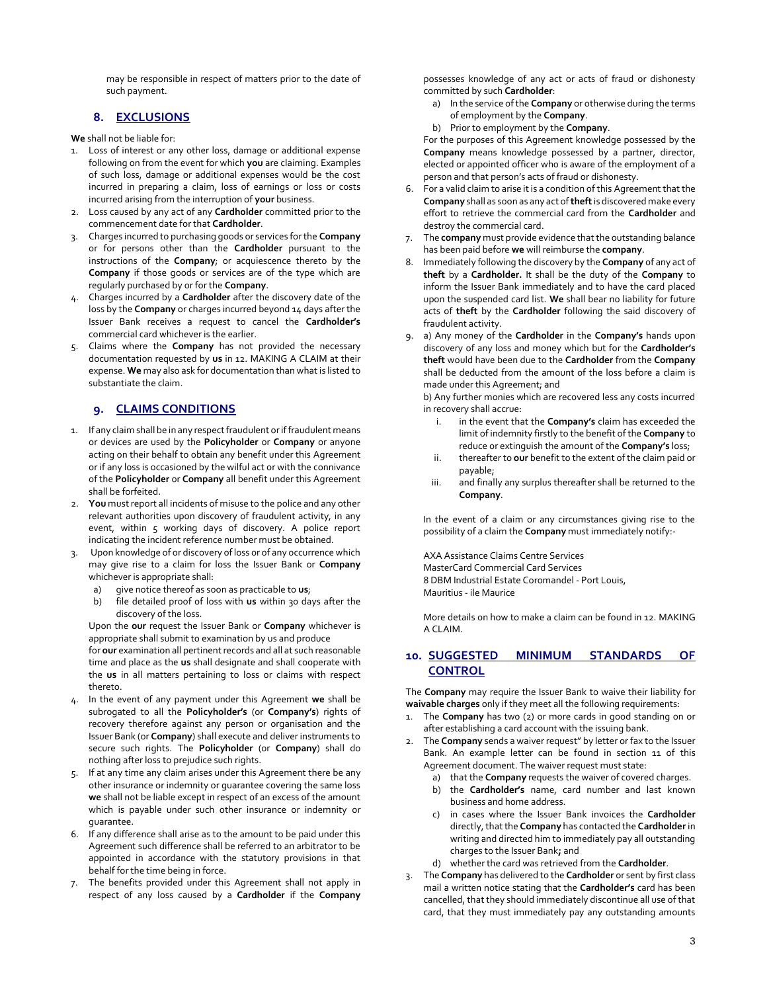may be responsible in respect of matters prior to the date of such payment.

# **8. EXCLUSIONS**

<span id="page-2-0"></span>**We** shall not be liable for:

- Loss of interest or any other loss, damage or additional expense following on from the event for which **you** are claiming. Examples of such loss, damage or additional expenses would be the cost incurred in preparing a claim, loss of earnings or loss or costs incurred arising from the interruption of **your** business.
- 2. Loss caused by any act of any **Cardholder** committed prior to the commencement date for that **Cardholder**.
- 3. Charges incurred to purchasing goods or services for the **Company** or for persons other than the **Cardholder** pursuant to the instructions of the **Company**; or acquiescence thereto by the **Company** if those goods or services are of the type which are regularly purchased by or for the **Company**.
- 4. Charges incurred by a **Cardholder** after the discovery date of the loss by the **Company** or charges incurred beyond 14 days after the Issuer Bank receives a request to cancel the **Cardholder's** commercial card whichever is the earlier.
- 5. Claims where the **Company** has not provided the necessary documentation requested by **us** in 12. MAKING A CLAIM at their expense. **We** may also ask for documentation than what is listed to substantiate the claim.

# **9. CLAIMS CONDITIONS**

- <span id="page-2-1"></span>1. If any claim shall be in any respect fraudulent or if fraudulent means or devices are used by the **Policyholder** or **Company** or anyone acting on their behalf to obtain any benefit under this Agreement or if any loss is occasioned by the wilful act or with the connivance of the **Policyholder** or **Company** all benefit under this Agreement shall be forfeited.
- 2. **You** must report all incidents of misuse to the police and any other relevant authorities upon discovery of fraudulent activity, in any event, within 5 working days of discovery. A police report indicating the incident reference number must be obtained.
- 3. Upon knowledge of or discovery of loss or of any occurrence which may give rise to a claim for loss the Issuer Bank or **Company**  whichever is appropriate shall:
	- a) give notice thereof as soon as practicable to **us**;
	- b) file detailed proof of loss with **us** within 30 days after the discovery of the loss.

Upon the **our** request the Issuer Bank or **Company** whichever is appropriate shall submit to examination by us and produce

for **our** examination all pertinent records and all at such reasonable time and place as the **us** shall designate and shall cooperate with the **us** in all matters pertaining to loss or claims with respect thereto.

- 4. In the event of any payment under this Agreement **we** shall be subrogated to all the **Policyholder's** (or **Company's**) rights of recovery therefore against any person or organisation and the Issuer Bank (or **Company**) shall execute and deliver instruments to secure such rights. The **Policyholder** (or **Company**) shall do nothing after loss to prejudice such rights.
- If at any time any claim arises under this Agreement there be any other insurance or indemnity or guarantee covering the same loss **we** shall not be liable except in respect of an excess of the amount which is payable under such other insurance or indemnity or guarantee.
- 6. If any difference shall arise as to the amount to be paid under this Agreement such difference shall be referred to an arbitrator to be appointed in accordance with the statutory provisions in that behalf for the time being in force.
- 7. The benefits provided under this Agreement shall not apply in respect of any loss caused by a **Cardholder** if the **Company**

possesses knowledge of any act or acts of fraud or dishonesty committed by such **Cardholder**:

- a) In the service of the **Company** or otherwise during the terms of employment by the **Company**.
- b) Prior to employment by the **Company**.

For the purposes of this Agreement knowledge possessed by the **Company** means knowledge possessed by a partner, director, elected or appointed officer who is aware of the employment of a person and that person's acts of fraud or dishonesty.

- 6. For a valid claim to arise it is a condition of this Agreement that the **Company** shall as soon as any act of **theft**is discovered make every effort to retrieve the commercial card from the **Cardholder** and destroy the commercial card.
- 7. The **company** must provide evidence that the outstanding balance has been paid before **we** will reimburse the **company**.
- 8. Immediately following the discovery by the **Company** of any act of **theft** by a **Cardholder.** It shall be the duty of the **Company** to inform the Issuer Bank immediately and to have the card placed upon the suspended card list. **We** shall bear no liability for future acts of **theft** by the **Cardholder** following the said discovery of fraudulent activity.
- 9. a) Any money of the **Cardholder** in the **Company's** hands upon discovery of any loss and money which but for the **Cardholder's theft** would have been due to the **Cardholder** from the **Company**  shall be deducted from the amount of the loss before a claim is made under this Agreement; and

b) Any further monies which are recovered less any costs incurred in recovery shall accrue:

- i. in the event that the **Company's** claim has exceeded the limit of indemnity firstly to the benefit of the **Company** to reduce or extinguish the amount of the **Company's** loss;
- ii. thereafter to **our** benefit to the extent of the claim paid or payable;
- iii. and finally any surplus thereafter shall be returned to the **Company**.

In the event of a claim or any circumstances giving rise to the possibility of a claim the **Company** must immediately notify:-

AXA Assistance Claims Centre Services MasterCard Commercial Card Services 8 DBM Industrial Estate Coromandel - Port Louis, Mauritius - ile Maurice

More details on how to make a claim can be found in 12. MAKING A CLAIM.

# <span id="page-2-2"></span>**10. SUGGESTED MINIMUM STANDARDS OF CONTROL**

The **Company** may require the Issuer Bank to waive their liability for **waivable charges** only if they meet all the following requirements:

- 1. The **Company** has two (2) or more cards in good standing on or after establishing a card account with the issuing bank.
- 2. The **Company** sends a waiver request" by letter or fax to the Issuer Bank. An example letter can be found in section 11 of this Agreement document. The waiver request must state:
	- a) that the **Company** requests the waiver of covered charges.
	- b) the **Cardholder's** name, card number and last known business and home address.
	- c) in cases where the Issuer Bank invoices the **Cardholder**  directly, that the **Company** has contacted the **Cardholder** in writing and directed him to immediately pay all outstanding charges to the Issuer Bank**;** and
	- d) whether the card was retrieved from the **Cardholder**.
- 3. The **Company** has delivered to the **Cardholder** or sent by first class mail a written notice stating that the **Cardholder's** card has been cancelled, that they should immediately discontinue all use of that card, that they must immediately pay any outstanding amounts